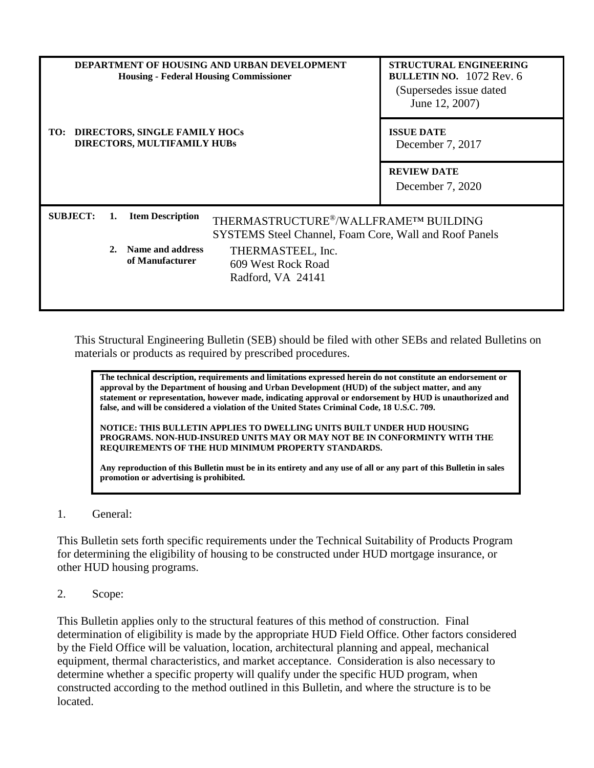|                 |         | DEPARTMENT OF HOUSING AND URBAN DEVELOPMENT<br><b>Housing - Federal Housing Commissioner</b> | <b>STRUCTURAL ENGINEERING</b><br>BULLETIN NO. $1072$ Rev. 6<br>(Supersedes issue dated)<br>June 12, 2007) |                  |  |
|-----------------|---------|----------------------------------------------------------------------------------------------|-----------------------------------------------------------------------------------------------------------|------------------|--|
| TO:             |         | DIRECTORS, SINGLE FAMILY HOCs<br><b>DIRECTORS, MULTIFAMILY HUBS</b>                          | <b>ISSUE DATE</b><br>December 7, 2017                                                                     |                  |  |
|                 |         |                                                                                              | <b>REVIEW DATE</b>                                                                                        |                  |  |
|                 |         |                                                                                              |                                                                                                           | December 7, 2020 |  |
| <b>SUBJECT:</b> | 1.      | <b>Item Description</b>                                                                      | THERMASTRUCTURE®/WALLFRAMETM BUILDING<br>SYSTEMS Steel Channel, Foam Core, Wall and Roof Panels           |                  |  |
|                 | $2_{-}$ | Name and address<br>of Manufacturer                                                          | THERMASTEEL, Inc.<br>609 West Rock Road<br>Radford, VA 24141                                              |                  |  |

This Structural Engineering Bulletin (SEB) should be filed with other SEBs and related Bulletins on materials or products as required by prescribed procedures.

**The technical description, requirements and limitations expressed herein do not constitute an endorsement or approval by the Department of housing and Urban Development (HUD) of the subject matter, and any statement or representation, however made, indicating approval or endorsement by HUD is unauthorized and false, and will be considered a violation of the United States Criminal Code, 18 U.S.C. 709.**

**NOTICE: THIS BULLETIN APPLIES TO DWELLING UNITS BUILT UNDER HUD HOUSING PROGRAMS. NON-HUD-INSURED UNITS MAY OR MAY NOT BE IN CONFORMINTY WITH THE REQUIREMENTS OF THE HUD MINIMUM PROPERTY STANDARDS.**

**Any reproduction of this Bulletin must be in its entirety and any use of all or any part of this Bulletin in sales promotion or advertising is prohibited.**

1. General:

This Bulletin sets forth specific requirements under the Technical Suitability of Products Program for determining the eligibility of housing to be constructed under HUD mortgage insurance, or other HUD housing programs.

2. Scope:

This Bulletin applies only to the structural features of this method of construction. Final determination of eligibility is made by the appropriate HUD Field Office. Other factors considered by the Field Office will be valuation, location, architectural planning and appeal, mechanical equipment, thermal characteristics, and market acceptance. Consideration is also necessary to determine whether a specific property will qualify under the specific HUD program, when constructed according to the method outlined in this Bulletin, and where the structure is to be located.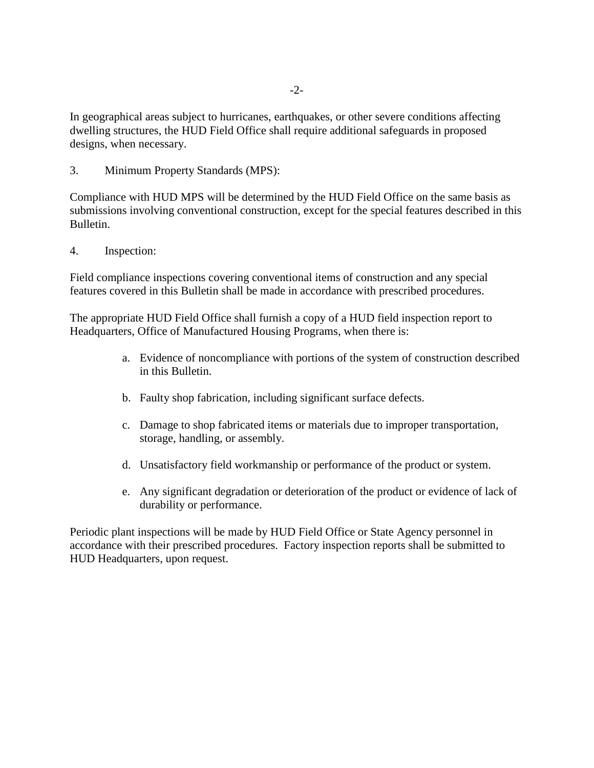In geographical areas subject to hurricanes, earthquakes, or other severe conditions affecting dwelling structures, the HUD Field Office shall require additional safeguards in proposed designs, when necessary.

3. Minimum Property Standards (MPS):

Compliance with HUD MPS will be determined by the HUD Field Office on the same basis as submissions involving conventional construction, except for the special features described in this Bulletin.

4. Inspection:

Field compliance inspections covering conventional items of construction and any special features covered in this Bulletin shall be made in accordance with prescribed procedures.

The appropriate HUD Field Office shall furnish a copy of a HUD field inspection report to Headquarters, Office of Manufactured Housing Programs, when there is:

- a. Evidence of noncompliance with portions of the system of construction described in this Bulletin.
- b. Faulty shop fabrication, including significant surface defects.
- c. Damage to shop fabricated items or materials due to improper transportation, storage, handling, or assembly.
- d. Unsatisfactory field workmanship or performance of the product or system.
- e. Any significant degradation or deterioration of the product or evidence of lack of durability or performance.

Periodic plant inspections will be made by HUD Field Office or State Agency personnel in accordance with their prescribed procedures. Factory inspection reports shall be submitted to HUD Headquarters, upon request.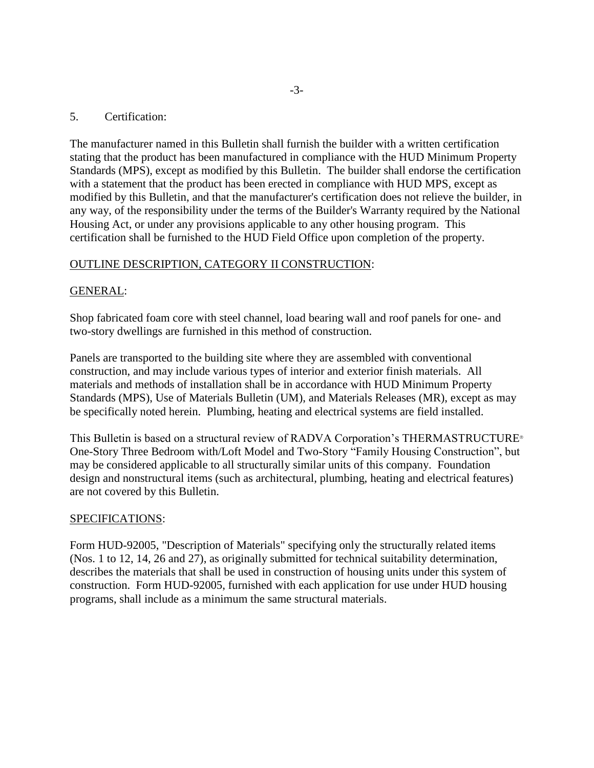### 5. Certification:

The manufacturer named in this Bulletin shall furnish the builder with a written certification stating that the product has been manufactured in compliance with the HUD Minimum Property Standards (MPS), except as modified by this Bulletin. The builder shall endorse the certification with a statement that the product has been erected in compliance with HUD MPS, except as modified by this Bulletin, and that the manufacturer's certification does not relieve the builder, in any way, of the responsibility under the terms of the Builder's Warranty required by the National Housing Act, or under any provisions applicable to any other housing program. This certification shall be furnished to the HUD Field Office upon completion of the property.

# OUTLINE DESCRIPTION, CATEGORY II CONSTRUCTION:

# GENERAL:

Shop fabricated foam core with steel channel, load bearing wall and roof panels for one- and two-story dwellings are furnished in this method of construction.

Panels are transported to the building site where they are assembled with conventional construction, and may include various types of interior and exterior finish materials. All materials and methods of installation shall be in accordance with HUD Minimum Property Standards (MPS), Use of Materials Bulletin (UM), and Materials Releases (MR), except as may be specifically noted herein. Plumbing, heating and electrical systems are field installed.

This Bulletin is based on a structural review of RADVA Corporation's THERMASTRUCTURE One-Story Three Bedroom with/Loft Model and Two-Story "Family Housing Construction", but may be considered applicable to all structurally similar units of this company. Foundation design and nonstructural items (such as architectural, plumbing, heating and electrical features) are not covered by this Bulletin.

### SPECIFICATIONS:

Form HUD-92005, "Description of Materials" specifying only the structurally related items (Nos. 1 to 12, 14, 26 and 27), as originally submitted for technical suitability determination, describes the materials that shall be used in construction of housing units under this system of construction. Form HUD-92005, furnished with each application for use under HUD housing programs, shall include as a minimum the same structural materials.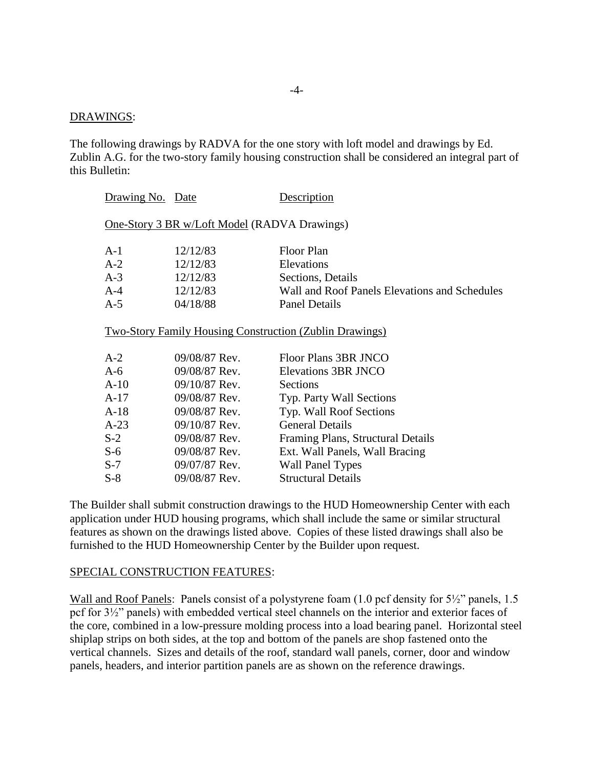#### DRAWINGS:

The following drawings by RADVA for the one story with loft model and drawings by Ed. Zublin A.G. for the two-story family housing construction shall be considered an integral part of this Bulletin:

| Drawing No. Date                                    |                 | <b>Description</b>                                                                     |  |  |  |
|-----------------------------------------------------|-----------------|----------------------------------------------------------------------------------------|--|--|--|
| <b>One-Story 3 BR w/Loft Model (RADVA Drawings)</b> |                 |                                                                                        |  |  |  |
| A-1                                                 | 12/12/83        | Floor Plan                                                                             |  |  |  |
| $A-2$                                               | 12/12/83        | Elevations                                                                             |  |  |  |
| $A-3$                                               | 12/12/83        | Sections, Details                                                                      |  |  |  |
| $A-4$                                               | 12/12/83        | Wall and Roof Panels Elevations and Schedules                                          |  |  |  |
| A-5                                                 | 04/18/88        | <b>Panel Details</b>                                                                   |  |  |  |
| A-2                                                 | 09/08/87 Rev.   | <b>Two-Story Family Housing Construction (Zublin Drawings)</b><br>Floor Plans 3BR JNCO |  |  |  |
| A-6                                                 | 09/08/87 Rev.   | <b>Elevations 3BR JNCO</b>                                                             |  |  |  |
| $A-10$                                              | $09/10/87$ Rev. | Sections                                                                               |  |  |  |
| A-17                                                | 09/08/87 Rev.   | Typ. Party Wall Sections                                                               |  |  |  |
| A-18                                                | 09/08/87 Rev.   | Typ. Wall Roof Sections                                                                |  |  |  |
| $A-23$                                              | $09/10/87$ Rev. | <b>General Details</b>                                                                 |  |  |  |
| $S-2$                                               | 09/08/87 Rev.   | Framing Plans, Structural Details                                                      |  |  |  |
| $S-6$                                               | 09/08/87 Rev.   | Ext. Wall Panels, Wall Bracing                                                         |  |  |  |
| S-7                                                 | 09/07/87 Rev.   | <b>Wall Panel Types</b>                                                                |  |  |  |
| $S-8$                                               | 09/08/87 Rev.   | <b>Structural Details</b>                                                              |  |  |  |
|                                                     |                 |                                                                                        |  |  |  |

The Builder shall submit construction drawings to the HUD Homeownership Center with each application under HUD housing programs, which shall include the same or similar structural features as shown on the drawings listed above. Copies of these listed drawings shall also be furnished to the HUD Homeownership Center by the Builder upon request.

#### SPECIAL CONSTRUCTION FEATURES:

Wall and Roof Panels: Panels consist of a polystyrene foam (1.0 pcf density for 5½" panels, 1.5 pcf for 3½" panels) with embedded vertical steel channels on the interior and exterior faces of the core, combined in a low-pressure molding process into a load bearing panel. Horizontal steel shiplap strips on both sides, at the top and bottom of the panels are shop fastened onto the vertical channels. Sizes and details of the roof, standard wall panels, corner, door and window panels, headers, and interior partition panels are as shown on the reference drawings.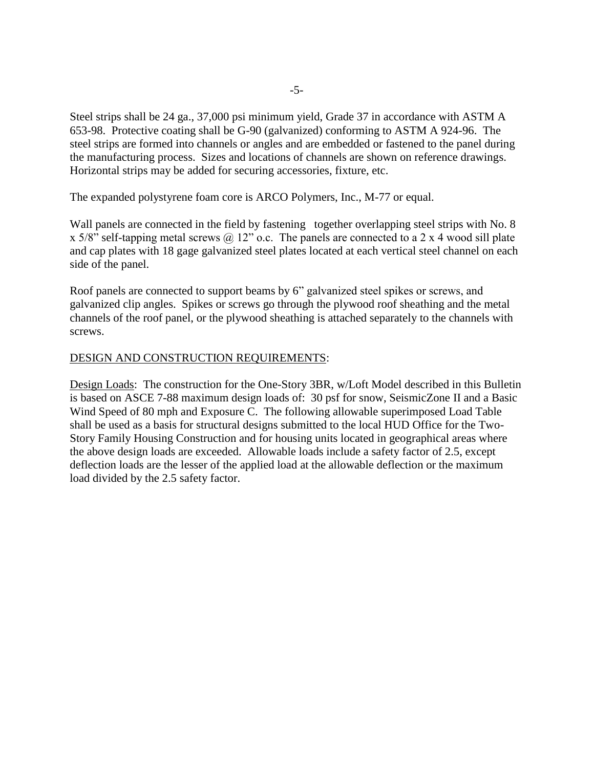Steel strips shall be 24 ga., 37,000 psi minimum yield, Grade 37 in accordance with ASTM A 653-98. Protective coating shall be G-90 (galvanized) conforming to ASTM A 924-96. The steel strips are formed into channels or angles and are embedded or fastened to the panel during the manufacturing process. Sizes and locations of channels are shown on reference drawings. Horizontal strips may be added for securing accessories, fixture, etc.

The expanded polystyrene foam core is ARCO Polymers, Inc., M-77 or equal.

Wall panels are connected in the field by fastening together overlapping steel strips with No. 8 x 5/8" self-tapping metal screws  $\omega$  12" o.c. The panels are connected to a 2 x 4 wood sill plate and cap plates with 18 gage galvanized steel plates located at each vertical steel channel on each side of the panel.

Roof panels are connected to support beams by 6" galvanized steel spikes or screws, and galvanized clip angles. Spikes or screws go through the plywood roof sheathing and the metal channels of the roof panel, or the plywood sheathing is attached separately to the channels with screws.

### DESIGN AND CONSTRUCTION REQUIREMENTS:

Design Loads: The construction for the One-Story 3BR, w/Loft Model described in this Bulletin is based on ASCE 7-88 maximum design loads of: 30 psf for snow, SeismicZone II and a Basic Wind Speed of 80 mph and Exposure C. The following allowable superimposed Load Table shall be used as a basis for structural designs submitted to the local HUD Office for the Two-Story Family Housing Construction and for housing units located in geographical areas where the above design loads are exceeded. Allowable loads include a safety factor of 2.5, except deflection loads are the lesser of the applied load at the allowable deflection or the maximum load divided by the 2.5 safety factor.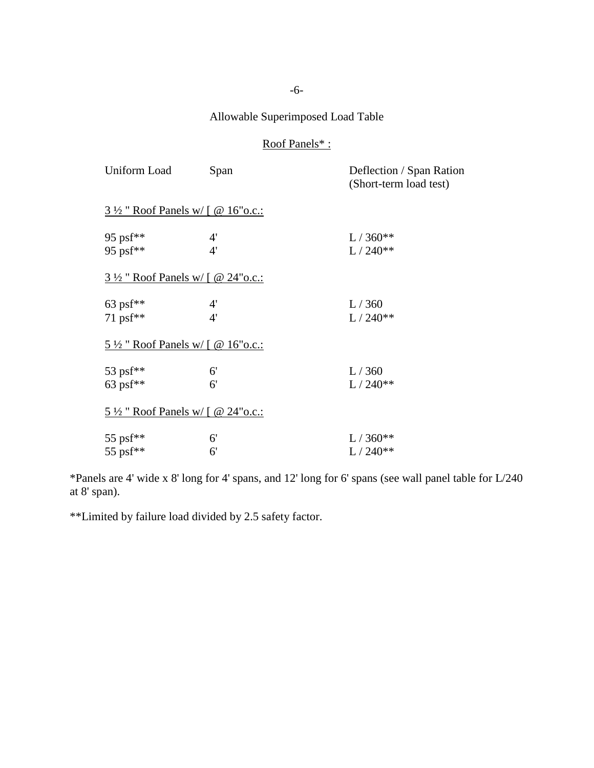# Allowable Superimposed Load Table

# Roof Panels\* :

| Uniform Load                                  | Span               | Deflection / Span Ration<br>(Short-term load test) |
|-----------------------------------------------|--------------------|----------------------------------------------------|
| $3\frac{1}{2}$ " Roof Panels w/ [ @ 16" o.c.: |                    |                                                    |
| 95 ps $f^{**}$<br>95 ps $f^{**}$              | 4'<br>4'           | $L / 360**$<br>$L / 240**$                         |
| $3\frac{1}{2}$ " Roof Panels w/ [ @ 24" o.c.: |                    |                                                    |
| 63 psf**<br>71 psf**                          | 4'<br>4'           | L/360<br>$L / 240**$                               |
| $5\frac{1}{2}$ " Roof Panels w/ [ @ 16" o.c.: |                    |                                                    |
| 53 psf**<br>63 psf**                          | 6'<br>6'           | L/360<br>$L / 240**$                               |
| $5\frac{1}{2}$ " Roof Panels w/ [ @ 24" o.c.: |                    |                                                    |
| 55 psf**<br>55 psf**                          | 6'<br>$6^{\prime}$ | $L / 360**$<br>$L / 240**$                         |

\*Panels are 4' wide x 8' long for 4' spans, and 12' long for 6' spans (see wall panel table for L/240 at 8' span).

\*\*Limited by failure load divided by 2.5 safety factor.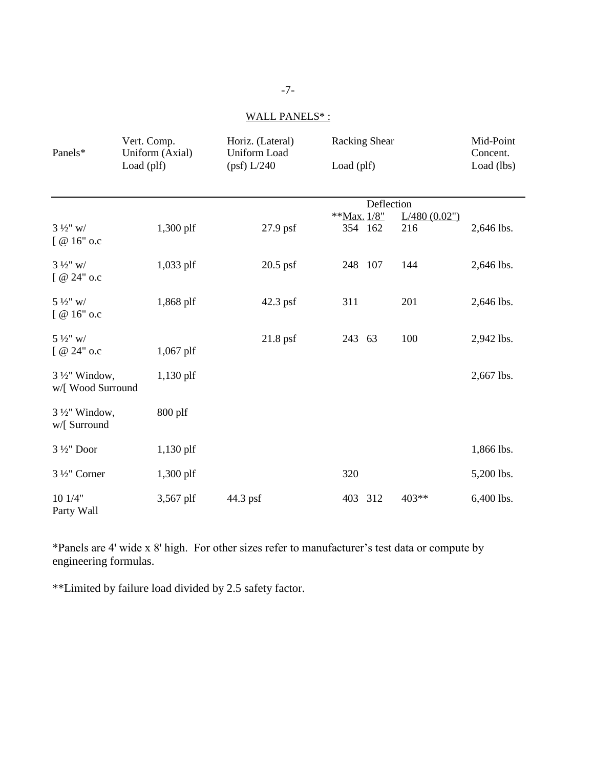# WALL PANELS\*:

| Panels*                                       | Vert. Comp.<br>Uniform (Axial)<br>Load (plf) | Horiz. (Lateral)<br><b>Uniform Load</b><br>(psf) L/240 | <b>Racking Shear</b><br>Load (plf)                          | Mid-Point<br>Concent.<br>Load (lbs) |
|-----------------------------------------------|----------------------------------------------|--------------------------------------------------------|-------------------------------------------------------------|-------------------------------------|
| $3\frac{1}{2}$ " w/<br>$[$ @ 16" o.c          | 1,300 plf                                    | $27.9$ psf                                             | Deflection<br>**Max. 1/8"<br>L/480(0.02")<br>354 162<br>216 | 2,646 lbs.                          |
| $3\frac{1}{2}$ " w/<br>$[$ @ 24" o.c          | 1,033 plf                                    | $20.5$ psf                                             | 248 107<br>144                                              | 2,646 lbs.                          |
| $5\frac{1}{2}$ " w/<br>$[@16"$ o.c            | 1,868 plf                                    | 42.3 psf                                               | 311<br>201                                                  | 2,646 lbs.                          |
| $5\frac{1}{2}$ " w/<br>$[@24"$ o.c            | $1,067$ plf                                  | $21.8$ psf                                             | 243 63<br>100                                               | 2,942 lbs.                          |
| $3\frac{1}{2}$ " Window,<br>w/[ Wood Surround | 1,130 plf                                    |                                                        |                                                             | 2,667 lbs.                          |
| $3\frac{1}{2}$ " Window,<br>w/[ Surround      | $800$ plf                                    |                                                        |                                                             |                                     |
| 3 1/2" Door                                   | $1,130$ plf                                  |                                                        |                                                             | 1,866 lbs.                          |
| 3 1/2" Corner                                 | $1,300$ plf                                  |                                                        | 320                                                         | 5,200 lbs.                          |
| 10 1/4"<br>Party Wall                         | 3,567 plf                                    | 44.3 psf                                               | 403 312<br>403**                                            | 6,400 lbs.                          |

\*Panels are 4' wide x 8' high. For other sizes refer to manufacturer's test data or compute by engineering formulas.

\*\*Limited by failure load divided by 2.5 safety factor.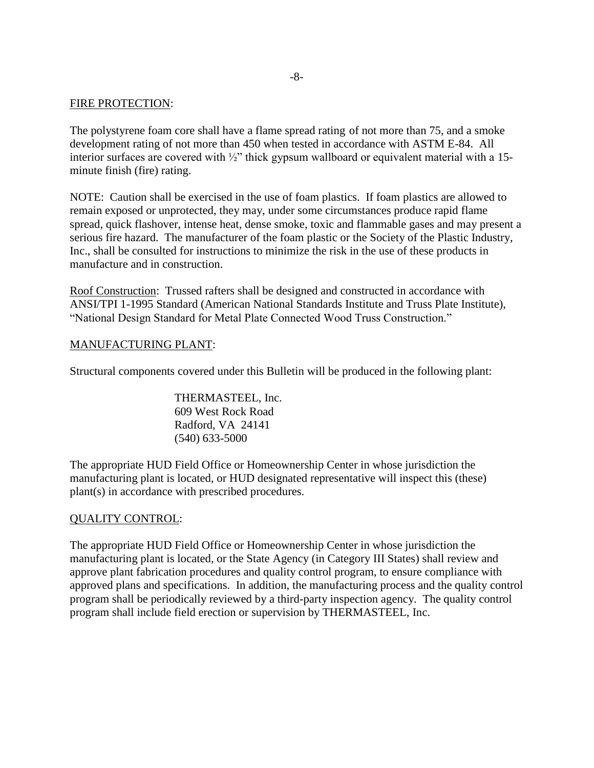### FIRE PROTECTION:

The polystyrene foam core shall have a flame spread rating of not more than 75, and a smoke development rating of not more than 450 when tested in accordance with ASTM E-84. All interior surfaces are covered with  $\frac{1}{2}$ " thick gypsum wallboard or equivalent material with a 15minute finish (fire) rating.

NOTE: Caution shall be exercised in the use of foam plastics. If foam plastics are allowed to remain exposed or unprotected, they may, under some circumstances produce rapid flame spread, quick flashover, intense heat, dense smoke, toxic and flammable gases and may present a serious fire hazard. The manufacturer of the foam plastic or the Society of the Plastic Industry, Inc., shall be consulted for instructions to minimize the risk in the use of these products in manufacture and in construction.

Roof Construction: Trussed rafters shall be designed and constructed in accordance with ANSI/TPI 1-1995 Standard (American National Standards Institute and Truss Plate Institute), "National Design Standard for Metal Plate Connected Wood Truss Construction."

### MANUFACTURING PLANT:

Structural components covered under this Bulletin will be produced in the following plant:

THERMASTEEL, Inc. 609 West Rock Road Radford, VA 24141 (540) 633-5000

The appropriate HUD Field Office or Homeownership Center in whose jurisdiction the manufacturing plant is located, or HUD designated representative will inspect this (these) plant(s) in accordance with prescribed procedures.

#### QUALITY CONTROL:

The appropriate HUD Field Office or Homeownership Center in whose jurisdiction the manufacturing plant is located, or the State Agency (in Category III States) shall review and approve plant fabrication procedures and quality control program, to ensure compliance with approved plans and specifications. In addition, the manufacturing process and the quality control program shall be periodically reviewed by a third-party inspection agency. The quality control program shall include field erection or supervision by THERMASTEEL, Inc.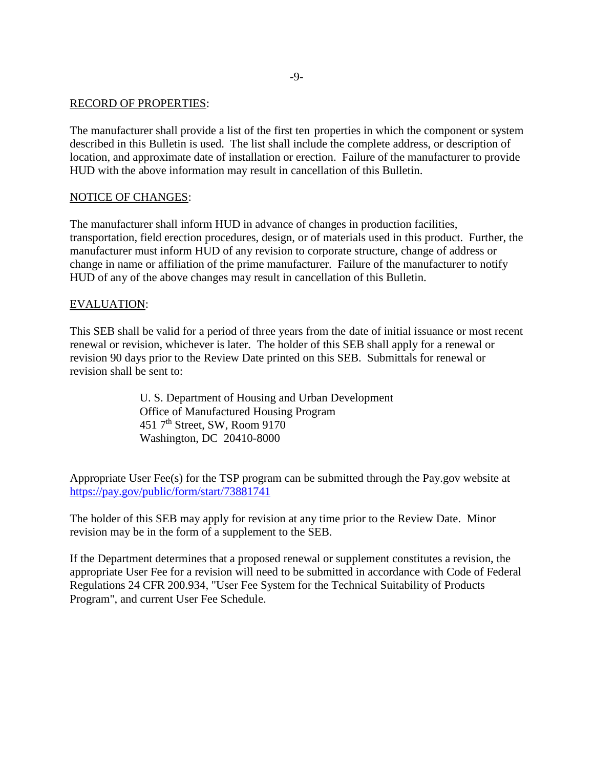#### RECORD OF PROPERTIES:

The manufacturer shall provide a list of the first ten properties in which the component or system described in this Bulletin is used. The list shall include the complete address, or description of location, and approximate date of installation or erection. Failure of the manufacturer to provide HUD with the above information may result in cancellation of this Bulletin.

#### NOTICE OF CHANGES:

The manufacturer shall inform HUD in advance of changes in production facilities, transportation, field erection procedures, design, or of materials used in this product. Further, the manufacturer must inform HUD of any revision to corporate structure, change of address or change in name or affiliation of the prime manufacturer. Failure of the manufacturer to notify HUD of any of the above changes may result in cancellation of this Bulletin.

#### EVALUATION:

This SEB shall be valid for a period of three years from the date of initial issuance or most recent renewal or revision, whichever is later. The holder of this SEB shall apply for a renewal or revision 90 days prior to the Review Date printed on this SEB. Submittals for renewal or revision shall be sent to:

> U. S. Department of Housing and Urban Development Office of Manufactured Housing Program 451 7th Street, SW, Room 9170 Washington, DC 20410-8000

Appropriate User Fee(s) for the TSP program can be submitted through the Pay.gov website at <https://pay.gov/public/form/start/73881741>

The holder of this SEB may apply for revision at any time prior to the Review Date. Minor revision may be in the form of a supplement to the SEB.

If the Department determines that a proposed renewal or supplement constitutes a revision, the appropriate User Fee for a revision will need to be submitted in accordance with Code of Federal Regulations 24 CFR 200.934, "User Fee System for the Technical Suitability of Products Program", and current User Fee Schedule.